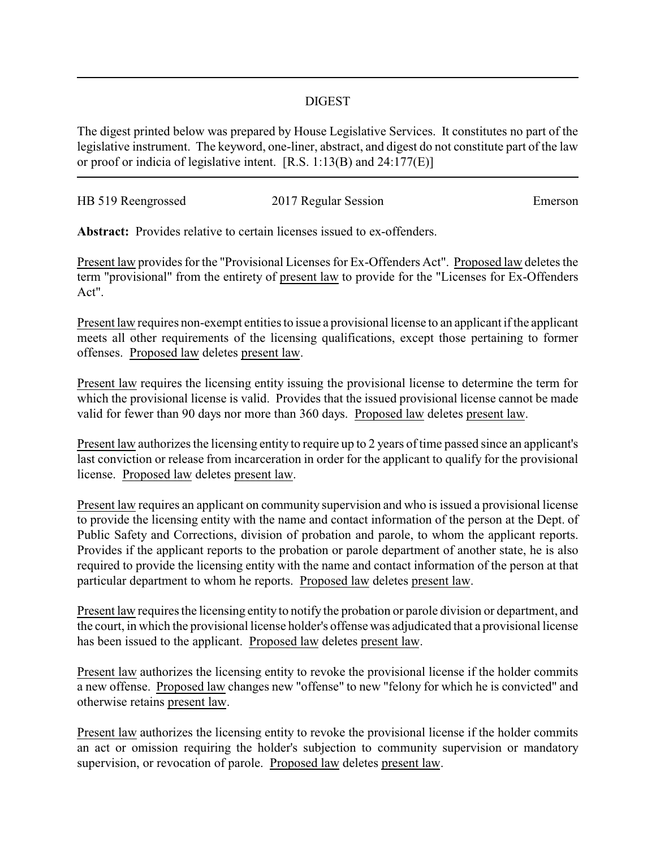## DIGEST

The digest printed below was prepared by House Legislative Services. It constitutes no part of the legislative instrument. The keyword, one-liner, abstract, and digest do not constitute part of the law or proof or indicia of legislative intent. [R.S. 1:13(B) and 24:177(E)]

| HB 519 Reengrossed | 2017 Regular Session | Emerson |
|--------------------|----------------------|---------|
|                    |                      |         |

**Abstract:** Provides relative to certain licenses issued to ex-offenders.

Present law provides for the "Provisional Licenses for Ex-Offenders Act". Proposed law deletes the term "provisional" from the entirety of present law to provide for the "Licenses for Ex-Offenders Act".

Present law requires non-exempt entities to issue a provisional license to an applicant if the applicant meets all other requirements of the licensing qualifications, except those pertaining to former offenses. Proposed law deletes present law.

Present law requires the licensing entity issuing the provisional license to determine the term for which the provisional license is valid. Provides that the issued provisional license cannot be made valid for fewer than 90 days nor more than 360 days. Proposed law deletes present law.

Present law authorizes the licensing entity to require up to 2 years of time passed since an applicant's last conviction or release from incarceration in order for the applicant to qualify for the provisional license. Proposed law deletes present law.

Present law requires an applicant on community supervision and who is issued a provisional license to provide the licensing entity with the name and contact information of the person at the Dept. of Public Safety and Corrections, division of probation and parole, to whom the applicant reports. Provides if the applicant reports to the probation or parole department of another state, he is also required to provide the licensing entity with the name and contact information of the person at that particular department to whom he reports. Proposed law deletes present law.

Present law requires the licensing entity to notify the probation or parole division or department, and the court, in which the provisional license holder's offense was adjudicated that a provisional license has been issued to the applicant. Proposed law deletes present law.

Present law authorizes the licensing entity to revoke the provisional license if the holder commits a new offense. Proposed law changes new "offense" to new "felony for which he is convicted" and otherwise retains present law.

Present law authorizes the licensing entity to revoke the provisional license if the holder commits an act or omission requiring the holder's subjection to community supervision or mandatory supervision, or revocation of parole. Proposed law deletes present law.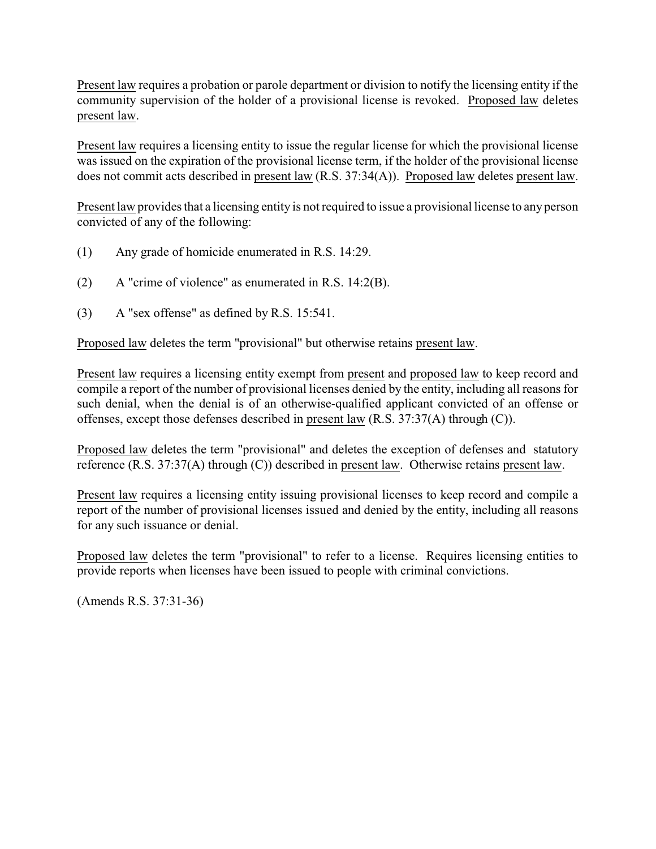Present law requires a probation or parole department or division to notify the licensing entity if the community supervision of the holder of a provisional license is revoked. Proposed law deletes present law.

Present law requires a licensing entity to issue the regular license for which the provisional license was issued on the expiration of the provisional license term, if the holder of the provisional license does not commit acts described in present law (R.S. 37:34(A)). Proposed law deletes present law.

Present law provides that a licensing entity is not required to issue a provisional license to any person convicted of any of the following:

- (1) Any grade of homicide enumerated in R.S. 14:29.
- (2) A "crime of violence" as enumerated in R.S. 14:2(B).
- (3) A "sex offense" as defined by R.S. 15:541.

Proposed law deletes the term "provisional" but otherwise retains present law.

Present law requires a licensing entity exempt from present and proposed law to keep record and compile a report of the number of provisional licenses denied by the entity, including all reasons for such denial, when the denial is of an otherwise-qualified applicant convicted of an offense or offenses, except those defenses described in present law (R.S. 37:37(A) through (C)).

Proposed law deletes the term "provisional" and deletes the exception of defenses and statutory reference (R.S. 37:37(A) through (C)) described in present law. Otherwise retains present law.

Present law requires a licensing entity issuing provisional licenses to keep record and compile a report of the number of provisional licenses issued and denied by the entity, including all reasons for any such issuance or denial.

Proposed law deletes the term "provisional" to refer to a license. Requires licensing entities to provide reports when licenses have been issued to people with criminal convictions.

(Amends R.S. 37:31-36)